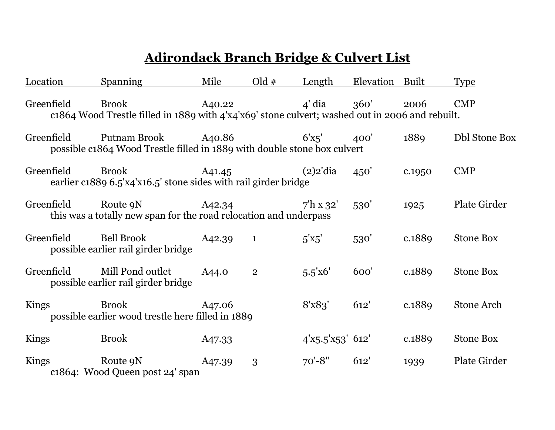## **Adirondack Branch Bridge & Culvert List**

| <b>Location</b> | <b>Spanning</b>                                                                                                 | Mile   | $Old \#$       | Length                 | Elevation | Built  | <b>Type</b>          |
|-----------------|-----------------------------------------------------------------------------------------------------------------|--------|----------------|------------------------|-----------|--------|----------------------|
| Greenfield      | <b>Brook</b><br>c1864 Wood Trestle filled in 1889 with 4'x4'x69' stone culvert; washed out in 2006 and rebuilt. | A40.22 |                | $4'$ dia $360'$        |           | 2006   | <b>CMP</b>           |
| Greenfield      | Putnam Brook A40.86<br>possible c1864 Wood Trestle filled in 1889 with double stone box culvert                 |        |                | 6'x5'                  | 400'      | 1889   | <b>Dbl Stone Box</b> |
| Greenfield      | <b>Brook</b><br>earlier c1889 6.5'x4'x16.5' stone sides with rail girder bridge                                 | A41.45 |                | $(2)$ 2'dia            | 450'      | c.1950 | <b>CMP</b>           |
| Greenfield      | Route 9N<br>this was a totally new span for the road relocation and underpass                                   | A42.34 |                | $7^{\prime}$ h x 32'   | 530'      | 1925   | <b>Plate Girder</b>  |
| Greenfield      | Bell Brook<br>possible earlier rail girder bridge                                                               | A42.39 | $\mathbf{1}$   | $5'$ <sup>x</sup> $5'$ | 530'      | c.1889 | <b>Stone Box</b>     |
| Greenfield      | Mill Pond outlet<br>possible earlier rail girder bridge                                                         | A44.0  | $\overline{2}$ | 5.5'x6'                | 600'      | c.1889 | <b>Stone Box</b>     |
| Kings           | <b>Brook</b><br>possible earlier wood trestle here filled in 1889                                               | A47.06 |                | 8'x83'                 | 612'      | c.1889 | <b>Stone Arch</b>    |
| Kings           | <b>Brook</b>                                                                                                    | A47.33 |                | $4'x5.5'x53'$ 612'     |           | c.1889 | <b>Stone Box</b>     |
| Kings           | Route 9N<br>c1864: Wood Queen post 24' span                                                                     | A47.39 | 3              | $70' - 8"$             | 612'      | 1939   | <b>Plate Girder</b>  |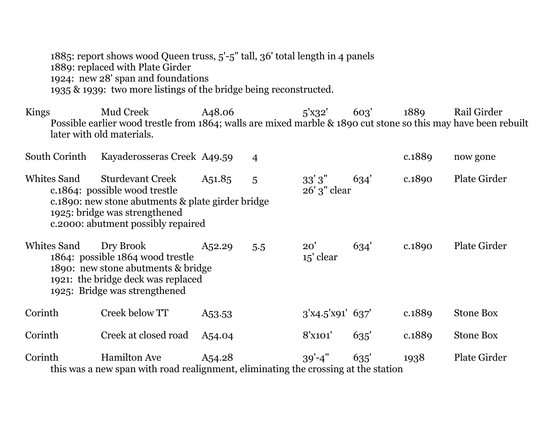1885: report shows wood Queen truss, 5'-5" tall, 36' total length in 4 panels 1889: replaced with Plate Girder 1924: new 28' span and foundations 1935 & 1939: two more listings of the bridge being reconstructed.

Kings Mud Creek A48.06 5'x32' 603' 1889 Rail Girder Possible earlier wood trestle from 1864; walls are mixed marble & 1890 cut stone so this may have been rebuilt later with old materials.

| South Corinth | Kayaderosseras Creek A49.59                                                                                                                                                           |                     | $\overline{4}$ |                          |      | c.1889 | now gone            |
|---------------|---------------------------------------------------------------------------------------------------------------------------------------------------------------------------------------|---------------------|----------------|--------------------------|------|--------|---------------------|
| Whites Sand   | <b>Sturdevant Creek</b><br>c.1864: possible wood trestle<br>c.1890: new stone abutments & plate girder bridge<br>1925: bridge was strengthened<br>c. 2000: abutment possibly repaired | A51.85              | 5              | 33'3''<br>$26'$ 3" clear | 634' | c.1890 | <b>Plate Girder</b> |
| Whites Sand   | Dry Brook<br>1864: possible 1864 wood trestle<br>1890: new stone abutments & bridge<br>1921: the bridge deck was replaced<br>1925: Bridge was strengthened                            | A <sub>5</sub> 2.29 | 5.5            | 20'<br>15' clear         | 634' | c.1890 | <b>Plate Girder</b> |
| Corinth       | Creek below TT                                                                                                                                                                        | A <sub>53</sub> .53 |                | $3'$ x4.5'x91' 637'      |      | c.1889 | <b>Stone Box</b>    |
| Corinth       | Creek at closed road                                                                                                                                                                  | A <sub>54</sub> .04 |                | 8'x101'                  | 635' | c.1889 | <b>Stone Box</b>    |
| Corinth       | <b>Hamilton Ave</b><br>this was a new span with road realignment, eliminating the crossing at the station                                                                             | A <sub>54.28</sub>  |                | $39' - 4''$              | 635' | 1938   | <b>Plate Girder</b> |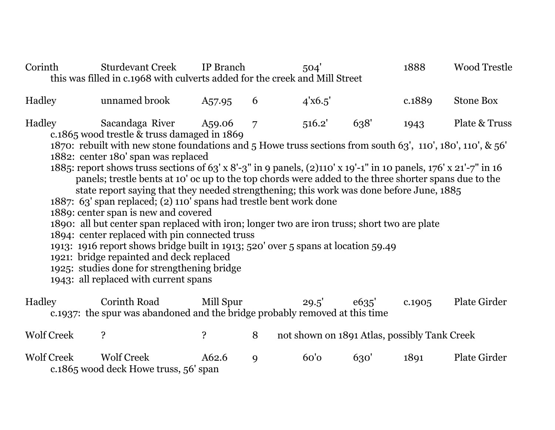| Corinth                                                                                                                                                                                                                                                                                                                                                                                                                                                                                                                                                                                                                                                                                                                                                                                                                                                                                                                                                                                                                                                                                                                   |  | <b>Sturdevant Creek</b><br>this was filled in c.1968 with culverts added for the creek and Mill Street | IP Branch           |   | 504'    |       | 1888                                         | <b>Wood Trestle</b> |
|---------------------------------------------------------------------------------------------------------------------------------------------------------------------------------------------------------------------------------------------------------------------------------------------------------------------------------------------------------------------------------------------------------------------------------------------------------------------------------------------------------------------------------------------------------------------------------------------------------------------------------------------------------------------------------------------------------------------------------------------------------------------------------------------------------------------------------------------------------------------------------------------------------------------------------------------------------------------------------------------------------------------------------------------------------------------------------------------------------------------------|--|--------------------------------------------------------------------------------------------------------|---------------------|---|---------|-------|----------------------------------------------|---------------------|
| Hadley                                                                                                                                                                                                                                                                                                                                                                                                                                                                                                                                                                                                                                                                                                                                                                                                                                                                                                                                                                                                                                                                                                                    |  | unnamed brook                                                                                          | A <sub>57</sub> .95 | 6 | 4'x6.5' |       | c.1889                                       | <b>Stone Box</b>    |
| Sacandaga River<br>Plate & Truss<br>Hadley<br>516.2'<br>638'<br>A59.06<br>$\overline{7}$<br>1943<br>c.1865 wood trestle & truss damaged in 1869<br>1870: rebuilt with new stone foundations and 5 Howe truss sections from south 63', 110', 180', 110', & 56'<br>1882: center 180' span was replaced<br>1885: report shows truss sections of 63' x 8'-3" in 9 panels, $(2)$ 110' x 19'-1" in 10 panels, 176' x 21'-7" in 16<br>panels; trestle bents at 10' oc up to the top chords were added to the three shorter spans due to the<br>state report saying that they needed strengthening; this work was done before June, 1885<br>1887: 63' span replaced; (2) 110' spans had trestle bent work done<br>1889: center span is new and covered<br>1890: all but center span replaced with iron; longer two are iron truss; short two are plate<br>1894: center replaced with pin connected truss<br>1913: 1916 report shows bridge built in 1913; 520' over 5 spans at location 59.49<br>1921: bridge repainted and deck replaced<br>1925: studies done for strengthening bridge<br>1943: all replaced with current spans |  |                                                                                                        |                     |   |         |       |                                              |                     |
| Hadley                                                                                                                                                                                                                                                                                                                                                                                                                                                                                                                                                                                                                                                                                                                                                                                                                                                                                                                                                                                                                                                                                                                    |  | <b>Corinth Road</b><br>c.1937: the spur was abandoned and the bridge probably removed at this time     | Mill Spur           |   | 29.5'   | e635' | c.1905                                       | Plate Girder        |
| <b>Wolf Creek</b>                                                                                                                                                                                                                                                                                                                                                                                                                                                                                                                                                                                                                                                                                                                                                                                                                                                                                                                                                                                                                                                                                                         |  | $\ddot{\mathbf{S}}$                                                                                    | $\ddot{\mathbf{c}}$ | 8 |         |       | not shown on 1891 Atlas, possibly Tank Creek |                     |
| <b>Wolf Creek</b>                                                                                                                                                                                                                                                                                                                                                                                                                                                                                                                                                                                                                                                                                                                                                                                                                                                                                                                                                                                                                                                                                                         |  | <b>Wolf Creek</b><br>c.1865 wood deck Howe truss, 56' span                                             | A62.6               | 9 | 60'     | 630'  | 1891                                         | Plate Girder        |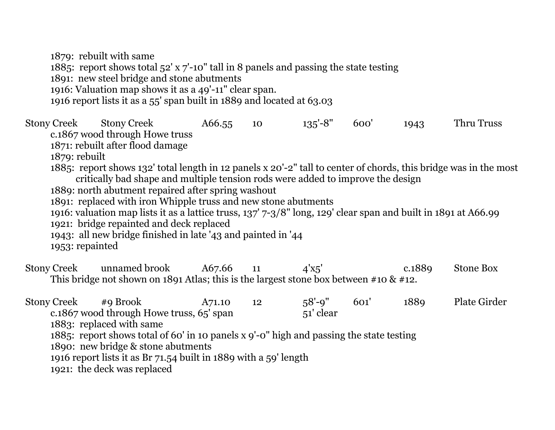1879: rebuilt with same 1885: report shows total 52' x 7'-10" tall in 8 panels and passing the state testing 1891: new steel bridge and stone abutments 1916: Valuation map shows it as a 49'-11" clear span. 1916 report lists it as a 55' span built in 1889 and located at 63.03

Stony Creek Stony Creek A66.55 10 135'-8" 600' 1943 Thru Truss c.1867 wood through Howe truss 1871: rebuilt after flood damage 1879: rebuilt 1885: report shows 132' total length in 12 panels x 20'-2" tall to center of chords, this bridge was in the most critically bad shape and multiple tension rods were added to improve the design 1889: north abutment repaired after spring washout 1891: replaced with iron Whipple truss and new stone abutments 1916: valuation map lists it as a lattice truss, 137' 7-3/8" long, 129' clear span and built in 1891 at A66.99 1921: bridge repainted and deck replaced 1943: all new bridge finished in late '43 and painted in '44 1953: repainted Stony Creek unnamed brook  $A67.66$  11  $A'x5'$  c.1889 Stone Box This bridge not shown on 1891 Atlas; this is the largest stone box between #10 & #12. Stony Creek #9 Brook A71.10 12 58'-9" 601' 1889 Plate Girder c.1867 wood through Howe truss, 65' span 51' clear 1883: replaced with same

1885: report shows total of 60' in 10 panels x 9'-0" high and passing the state testing

1890: new bridge & stone abutments

1916 report lists it as Br 71.54 built in 1889 with a 59' length

1921: the deck was replaced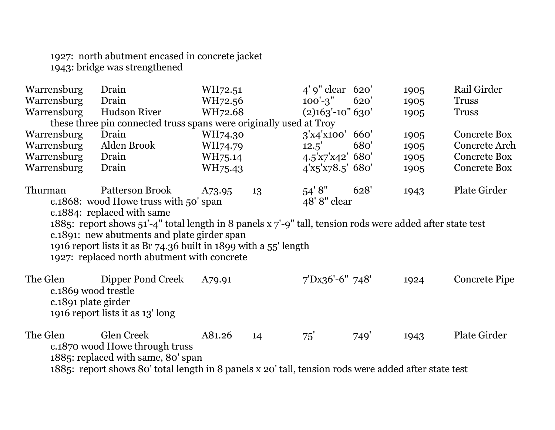1927: north abutment encased in concrete jacket 1943: bridge was strengthened

| Warrensburg                                                                                                                                                                                                                                                                    | Drain                                                                                                                                                                                      | WH72.51 |    | $4'$ 9" clear 620'    |      | 1905 | Rail Girder          |
|--------------------------------------------------------------------------------------------------------------------------------------------------------------------------------------------------------------------------------------------------------------------------------|--------------------------------------------------------------------------------------------------------------------------------------------------------------------------------------------|---------|----|-----------------------|------|------|----------------------|
| Warrensburg                                                                                                                                                                                                                                                                    | Drain                                                                                                                                                                                      | WH72.56 |    | $100' - 3"$           | 620' | 1905 | <b>Truss</b>         |
| Warrensburg                                                                                                                                                                                                                                                                    | <b>Hudson River</b>                                                                                                                                                                        | WH72.68 |    | $(2)$ 163'-10" 630'   |      | 1905 | <b>Truss</b>         |
|                                                                                                                                                                                                                                                                                | these three pin connected truss spans were originally used at Troy                                                                                                                         |         |    |                       |      |      |                      |
| Warrensburg                                                                                                                                                                                                                                                                    | Drain                                                                                                                                                                                      | WH74.30 |    | 3'x4'x100' 660'       |      | 1905 | <b>Concrete Box</b>  |
| Warrensburg                                                                                                                                                                                                                                                                    | Alden Brook                                                                                                                                                                                | WH74.79 |    | 12.5'                 | 680' | 1905 | Concrete Arch        |
| Warrensburg                                                                                                                                                                                                                                                                    | Drain                                                                                                                                                                                      | WH75.14 |    | 4.5'x7'x42' 680'      |      | 1905 | <b>Concrete Box</b>  |
| Warrensburg                                                                                                                                                                                                                                                                    | Drain                                                                                                                                                                                      | WH75.43 |    | $4'$ x5'x78.5' 680'   |      | 1905 | <b>Concrete Box</b>  |
| Thurman                                                                                                                                                                                                                                                                        | <b>Patterson Brook</b><br>c.1868: wood Howe truss with 50' span<br>c.1884: replaced with same                                                                                              | A73.95  | 13 | 54'8''<br>48'8" clear | 628' | 1943 | <b>Plate Girder</b>  |
| 1885: report shows 51'-4" total length in 8 panels $x 7$ '-9" tall, tension rods were added after state test<br>c.1891: new abutments and plate girder span<br>1916 report lists it as Br 74.36 built in 1899 with a 55' length<br>1927: replaced north abutment with concrete |                                                                                                                                                                                            |         |    |                       |      |      |                      |
| The Glen<br>c.1869 wood trestle<br>c.1891 plate girder                                                                                                                                                                                                                         | Dipper Pond Creek<br>1916 report lists it as 13' long                                                                                                                                      | A79.91  |    | 7'Dx36'-6" 748'       |      | 1924 | <b>Concrete Pipe</b> |
| The Glen                                                                                                                                                                                                                                                                       | Glen Creek<br>c.1870 wood Howe through truss<br>1885: replaced with same, 80' span<br>1885: report shows 80' total length in 8 panels x 20' tall, tension rods were added after state test | A81.26  | 14 | 75'                   | 749' | 1943 | <b>Plate Girder</b>  |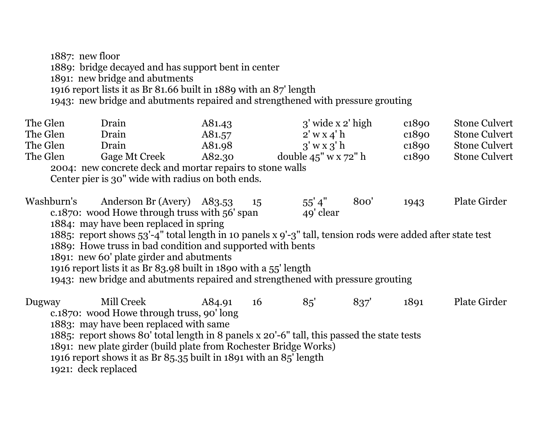1887: new floor 1889: bridge decayed and has support bent in center 1891: new bridge and abutments 1916 report lists it as Br 81.66 built in 1889 with an 87' length 1943: new bridge and abutments repaired and strengthened with pressure grouting

| The Glen   | Drain                                                                                                      | A81.43 |    | $3'$ wide x $2'$ high    |      | c <sub>1890</sub> | <b>Stone Culvert</b> |  |  |
|------------|------------------------------------------------------------------------------------------------------------|--------|----|--------------------------|------|-------------------|----------------------|--|--|
| The Glen   | Drain                                                                                                      | A81.57 |    | $2'$ w x 4' h            |      | c <sub>1890</sub> | <b>Stone Culvert</b> |  |  |
| The Glen   | Drain                                                                                                      | A81.98 |    | $3'$ w x $3'$ h          |      | c <sub>1890</sub> | <b>Stone Culvert</b> |  |  |
| The Glen   | Gage Mt Creek                                                                                              | A82.30 |    | double $45" \le x 72"$ h |      | c <sub>1890</sub> | <b>Stone Culvert</b> |  |  |
|            | 2004: new concrete deck and mortar repairs to stone walls                                                  |        |    |                          |      |                   |                      |  |  |
|            | Center pier is 30" wide with radius on both ends.                                                          |        |    |                          |      |                   |                      |  |  |
| Washburn's | Anderson Br (Avery) A83.53<br>c.1870: wood Howe through truss with 56' span                                |        | 15 | 55' 4''<br>49' clear     | 800' | 1943              | <b>Plate Girder</b>  |  |  |
|            | 1884: may have been replaced in spring                                                                     |        |    |                          |      |                   |                      |  |  |
|            | 1885: report shows 53'-4" total length in 10 panels x 9'-3" tall, tension rods were added after state test |        |    |                          |      |                   |                      |  |  |
|            | 1889: Howe truss in bad condition and supported with bents                                                 |        |    |                          |      |                   |                      |  |  |
|            | 1891: new 60' plate girder and abutments                                                                   |        |    |                          |      |                   |                      |  |  |
|            | 1916 report lists it as Br 83.98 built in 1890 with a 55' length                                           |        |    |                          |      |                   |                      |  |  |
|            | 1943: new bridge and abutments repaired and strengthened with pressure grouting                            |        |    |                          |      |                   |                      |  |  |
| Dugway     | Mill Creek                                                                                                 | A84.91 | 16 | 85'                      | 837' | 1891              | <b>Plate Girder</b>  |  |  |
|            | c.1870: wood Howe through truss, 90'long                                                                   |        |    |                          |      |                   |                      |  |  |
|            | 1883: may have been replaced with same                                                                     |        |    |                          |      |                   |                      |  |  |
|            | 1885: report shows 80' total length in 8 panels x 20'-6" tall, this passed the state tests                 |        |    |                          |      |                   |                      |  |  |
|            | 1891: new plate girder (build plate from Rochester Bridge Works)                                           |        |    |                          |      |                   |                      |  |  |
|            | 1016 report shows it as $DrQ = qF$ built in 1901 with an $QF'$ length                                      |        |    |                          |      |                   |                      |  |  |

1916 report shows it as Br 85.35 built in 1891 with an 85' length

1921: deck replaced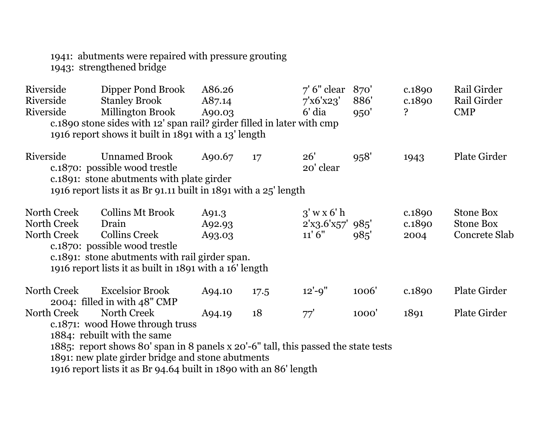1941: abutments were repaired with pressure grouting 1943: strengthened bridge

| Riverside<br>Riverside<br>Riverside | Dipper Pond Brook<br><b>Stanley Brook</b><br>Millington Brook                                                                  | A86.26<br>A87.14<br>A90.03 |      | $7'$ 6" clear<br>7'x6'x23'<br>$6'$ dia | 870'<br>886'<br>950' | c.1890<br>c.1890<br>Ç | Rail Girder<br>Rail Girder<br><b>CMP</b> |
|-------------------------------------|--------------------------------------------------------------------------------------------------------------------------------|----------------------------|------|----------------------------------------|----------------------|-----------------------|------------------------------------------|
|                                     | c.1890 stone sides with 12' span rail? girder filled in later with cmp<br>1916 report shows it built in 1891 with a 13' length |                            |      |                                        |                      |                       |                                          |
|                                     |                                                                                                                                |                            |      |                                        |                      |                       |                                          |
| Riverside                           | <b>Unnamed Brook</b><br>c.1870: possible wood trestle                                                                          | A90.67                     | 17   | 26'<br>20' clear                       | 958'                 | 1943                  | <b>Plate Girder</b>                      |
|                                     | c.1891: stone abutments with plate girder                                                                                      |                            |      |                                        |                      |                       |                                          |
|                                     | 1916 report lists it as Br 91.11 built in 1891 with a 25' length                                                               |                            |      |                                        |                      |                       |                                          |
|                                     |                                                                                                                                |                            |      |                                        |                      |                       |                                          |
| North Creek                         | <b>Collins Mt Brook</b>                                                                                                        | A91.3                      |      | $3'$ w x 6' h                          |                      | c.1890                | <b>Stone Box</b>                         |
| North Creek                         | Drain                                                                                                                          | A92.93                     |      | $2'$ x3.6'x57' 985'                    |                      | c.1890                | <b>Stone Box</b>                         |
| North Creek                         | <b>Collins Creek</b><br>c.1870: possible wood trestle                                                                          | A93.03                     |      | 11'6''                                 | 985'                 | 2004                  | Concrete Slab                            |
|                                     | c.1891: stone abutments with rail girder span.                                                                                 |                            |      |                                        |                      |                       |                                          |
|                                     | 1916 report lists it as built in 1891 with a 16' length                                                                        |                            |      |                                        |                      |                       |                                          |
|                                     |                                                                                                                                |                            |      |                                        |                      |                       |                                          |
| North Creek                         | <b>Excelsior Brook</b>                                                                                                         | A94.10                     | 17.5 | $12' - 9''$                            | 1006'                | c.1890                | <b>Plate Girder</b>                      |
| North Creek                         | 2004: filled in with 48" CMP<br>North Creek                                                                                    |                            | 18   |                                        |                      |                       | <b>Plate Girder</b>                      |
|                                     | c.1871: wood Howe through truss                                                                                                | A94.19                     |      | 77'                                    | 1000'                | 1891                  |                                          |
|                                     | 1884: rebuilt with the same                                                                                                    |                            |      |                                        |                      |                       |                                          |
|                                     | 1885: report shows 80' span in 8 panels x 20'-6" tall, this passed the state tests                                             |                            |      |                                        |                      |                       |                                          |
|                                     | 1891: new plate girder bridge and stone abutments                                                                              |                            |      |                                        |                      |                       |                                          |
|                                     | 1916 report lists it as Br 94.64 built in 1890 with an 86' length                                                              |                            |      |                                        |                      |                       |                                          |
|                                     |                                                                                                                                |                            |      |                                        |                      |                       |                                          |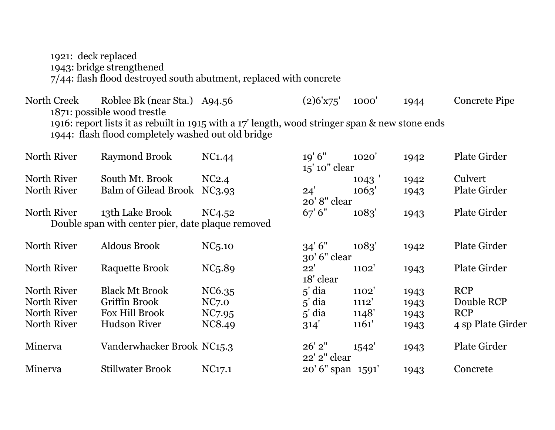1921: deck replaced 1943: bridge strengthened 7/44: flash flood destroyed south abutment, replaced with concrete

North Creek Roblee Bk (near Sta.) A94.56 (2)6'x75' 1000' 1944 Concrete Pipe 1871: possible wood trestle 1916: report lists it as rebuilt in 1915 with a 17' length, wood stringer span & new stone ends 1944: flash flood completely washed out old bridge

| North River | <b>Raymond Brook</b>                              | NC1.44              | 19'6''            | 1020' | 1942 | <b>Plate Girder</b> |
|-------------|---------------------------------------------------|---------------------|-------------------|-------|------|---------------------|
|             |                                                   |                     | 15' 10" clear     |       |      |                     |
| North River | South Mt. Brook                                   | NC2.4               |                   | 1043  | 1942 | Culvert             |
| North River | <b>Balm of Gilead Brook</b>                       | NC <sub>3</sub> .93 | 24'               | 1063' | 1943 | <b>Plate Girder</b> |
|             |                                                   |                     | 20'8" clear       |       |      |                     |
| North River | 13th Lake Brook                                   | NC4.52              | 67'6"             | 1083' | 1943 | <b>Plate Girder</b> |
|             | Double span with center pier, date plaque removed |                     |                   |       |      |                     |
| North River | <b>Aldous Brook</b>                               | NC <sub>5</sub> .10 | 34'6''            | 1083' |      | <b>Plate Girder</b> |
|             |                                                   |                     | $30'$ 6" clear    |       | 1942 |                     |
| North River | Raquette Brook                                    | NC <sub>5</sub> .89 | 22'               | 1102' |      | <b>Plate Girder</b> |
|             |                                                   |                     | 18' clear         |       | 1943 |                     |
| North River | <b>Black Mt Brook</b>                             | NC6.35              | $5'$ dia          | 1102' | 1943 | <b>RCP</b>          |
| North River | Griffin Brook                                     | NC <sub>7.0</sub>   | $5'$ dia          | 1112' | 1943 | Double RCP          |
| North River | Fox Hill Brook                                    | NC7.95              | $5'$ dia          | 1148' | 1943 | <b>RCP</b>          |
| North River | <b>Hudson River</b>                               | NC8.49              | 314'              | 1161' | 1943 | 4 sp Plate Girder   |
|             |                                                   |                     |                   |       |      |                     |
| Minerva     | Vanderwhacker Brook NC15.3                        |                     | $26'$ $2"$        | 1542' | 1943 | <b>Plate Girder</b> |
|             |                                                   |                     | 22' 2" clear      |       |      |                     |
| Minerva     | <b>Stillwater Brook</b>                           | NC <sub>17.1</sub>  | 20' 6" span 1591' |       | 1943 | Concrete            |